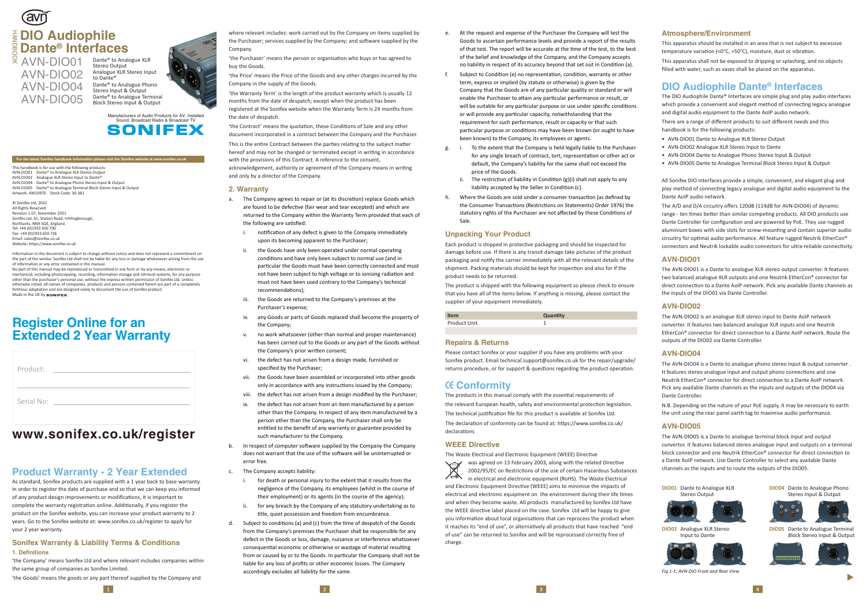# **Product Warranty - 2 Year Extended**

As standard, Sonifex products are supplied with a 1 year back to base warranty. In order to register the date of purchase and so that we can keep you informed of any product design improvements or modifications, it is important to complete the warranty registration online. Additionally, if you register the product on the Sonifex website, you can increase your product warranty to 2 years. Go to the Sonifex website at: www.sonifex.co.uk/register to apply for your 2 year warranty.

'the Purchaser' means the person or organisation who buys or has agreed to buy the Goods.

#### **Sonifex Warranty & Liability Terms & Conditions 1. Definitions**

'the Company' means Sonifex Ltd and where relevant includes companies within the same group of companies as Sonifex Limited.

'the Goods' means the goods or any part thereof supplied by the Company and

where relevant includes: work carried out by the Company on items supplied by the Purchaser; services supplied by the Company; and software supplied by the Company.

'the Contract' means the quotation, these Conditions of Sale and any other document incorporated in a contract between the Company and the Purchaser. This is the entire Contract between the parties relating to the subject matter hereof and may not be changed or terminated except in writing in accordance with the provisions of this Contract. A reference to the consent, acknowledgement, authority or agreement of the Company means in writing and only by a director of the Company.

'the Price' means the Price of the Goods and any other charges incurred by the Company in the supply of the Goods.

'the Warranty Term' is the length of the product warranty which is usually 12 months from the date of despatch; except when the product has been registered at the Sonifex website when the Warranty Term is 24 months from the date of despatch.

#### **2. Warranty**

- a. The Company agrees to repair or (at its discretion) replace Goods which are found to be defective (fair wear and tear excepted) and which are returned to the Company within the Warranty Term provided that each of the following are satisfied:
	- i. notification of any defect is given to the Company immediately upon its becoming apparent to the Purchaser;
	- ii. the Goods have only been operated under normal operating conditions and have only been subject to normal use (and in particular the Goods must have been correctly connected and must not have been subject to high voltage or to ionising radiation and must not have been used contrary to the Company's technical recommendations):
	- iii. the Goods are returned to the Company's premises at the Purchaser's expense;
	- iv. any Goods or parts of Goods replaced shall become the property of the Company;
	- v. no work whatsoever (other than normal and proper maintenance) has been carried out to the Goods or any part of the Goods without the Company's prior written consent;
	- vi. the defect has not arisen from a design made, furnished or specified by the Purchaser;
	- vii. the Goods have been assembled or incorporated into other goods only in accordance with any instructions issued by the Company;
	- viii. the defect has not arisen from a design modified by the Purchaser;
	- ix. the defect has not arisen from an item manufactured by a person other than the Company. In respect of any item manufactured by a person other than the Company, the Purchaser shall only be entitled to the benefit of any warranty or guarantee provided by such manufacturer to the Company.
- b. In respect of computer software supplied by the Company the Company does not warrant that the use of the so�ware will be uninterrupted or error free.
- c. The Company accepts liability:
	- i. for death or personal injury to the extent that it results from the negligence of the Company, its employees (whilst in the course of their employment) or its agents (in the course of the agency);
	- ii. for any breach by the Company of any statutory undertaking as to title, quiet possession and freedom from encumbrance.
- d. Subject to conditions (a) and (c) from the time of despatch of the Goods from the Company's premises the Purchaser shall be responsible for any defect in the Goods or loss, damage, nuisance or interference whatsoever consequential economic or otherwise or wastage of material resulting from or caused by or to the Goods. In par�cular the Company shall not be liable for any loss of profits or other economic losses. The Company accordingly excludes all liability for the same.

Please contact Sonifex or your supplier if you have any problems with your Sonifex product. Email technical.support@sonifex.co.uk for the repair/upgrade/ returns procedure, or for support & questions regarding the product operation.

was agreed on 13 February 2003, along with the related Directive  $\forall$ 2002/95/EC on Restrictions of the use of certain Hazardous Substances  $\sqrt{2}$ in electrical and electronic equipment (RoHS). The Waste Electrical and Electronic Equipment Directive (WEEE) aims to minimise the impacts of electrical and electronic equipment on the environment during their life times and when they become waste. All products manufactured by Sonifex Ltd have the WEEE directive label placed on the case. Sonifex Ltd will be happy to give you information about local organisations that can reprocess the product when it reaches its "end of use", or alternatively all products that have reached "end of use" can be returned to Sonifex and will be reprocessed correctly free of charge.

This apparatus should be installed in an area that is not subject to excessive temperature variation (<0°C, >50°C), moisture, dust or vibration.

# **Register Online for an Extended 2 Year Warranty**

Email: sales@sonifex.co.uk Website: https://www.sonifex.co.uk

No part of this manual may be reproduced or transmitted in any form or by any means, electronic or mechanical, including photocopying, recording, information storage and retrieval systems, for any purpose other than the purchaser's personal use, without the express written permission of Sonifex Ltd. Unless otherwise noted, all names of companies, products and persons contained herein are part of a completely fictitious adaptation and are designed solely to document the use of Sonifex product. Made in the UK by **SONIFEX** 

# **Tavñ DIO Audiophile** HANDBOOK **Dante® Interfaces**

 $\frac{8}{2}$  AVN-DIO01 AVN-DIO02 AVN-DIO04 AVN-DIO05

> Manufacturers of Audio Products for AV, Installed Sound, Broadcast Radio & Broadcast TV **SONIFEX**

- e. At the request and expense of the Purchaser the Company will test the Goods to ascertain performance levels and provide a report of the results of that test. The report will be accurate at the time of the test, to the best of the belief and knowledge of the Company, and the Company accepts no liability in respect of its accuracy beyond that set out in Condition (a).
- f. Subject to Condi�on (e) no representa�on, condi�on, warranty or other term, express or implied (by statute or otherwise) is given by the Company that the Goods are of any par�cular quality or standard or will enable the Purchaser to attain any particular performance or result, or will be suitable for any particular purpose or use under specific conditions or will provide any particular capacity, notwithstanding that the requirement for such performance, result or capacity or that such particular purpose or conditions may have been known (or ought to have been known) to the Company, its employees or agents.
- g. i. To the extent that the Company is held legally liable to the Purchaser for any single breach of contract, tort, representation or other act or default, the Company's liability for the same shall not exceed the price of the Goods.
	- The restriction of liability in Condition  $(g)(i)$  shall not apply to any liability accepted by the Seller in Condition (c).
- h. Where the Goods are sold under a consumer transaction (as defined by the Consumer Transactions (Restrictions on Statements) Order 1976) the statutory rights of the Purchaser are not affected by these Conditions of Sale.

The A/D and D/A circuitry offers 120dB (114dB for AVN-DIO04) of dynamic range - ten times better than similar competing products. All DIO products use Dante Controller for configuration and are powered by PoE. They use rugged aluminium boxes with side slots for screw-mounting and contain superior audio circuitry for optimal audio performance. All feature rugged Neutrik EtherCon® connectors and Neutrik lockable audio connectors for ultra-reliable connectivity.

#### **Unpacking Your Product**

Each product is shipped in protec�ve packaging and should be inspected for damage before use. If there is any transit damage take pictures of the product packaging and no�fy the carrier immediately with all the relevant details of the shipment. Packing materials should be kept for inspection and also for if the product needs to be returned.

The product is shipped with the following equipment so please check to ensure that you have all of the items below. If anything is missing, please contact the supplier of your equipment immediately.

| <b>Item</b>  | Quantity |
|--------------|----------|
| Product Unit |          |

#### **Repairs & Returns**

## **Conformity**

The products in this manual comply with the essential requirements of the relevant European health, safety and environmental protection legislation. The technical justification file for this product is available at Sonifex Ltd. The declaration of conformity can be found at: https://www.sonifex.co.uk/ declarations

#### **WEEE Directive**

The Waste Electrical and Electronic Equipment (WEEE) Directive

#### **Atmosphere/Environment**

This apparatus shall not be exposed to dripping or splashing, and no objects filled with water, such as vases shall be placed on the apparatus.

# **www.sonifex.co.uk/register**

| Product:   |  |
|------------|--|
| Serial No: |  |

#### **For the latest Sonifex handbook information please visit the Sonifex website at www.sonifex.co.uk**

to Dante®

This handbook is for use with the following products: AVN-DIO01 Dante® to Analogue XLR Stereo Output AVN-DIO02 Analogue XLR Stereo Input to Dante® AVN-DIO04 Dante® to Analogue Phono Stereo Input & Output AVN-DIO05 Dante® to Analogue Terminal Block Stereo Input & Output Artwork: AW10976 Stock Code: 30-381

#### © Sonifex Ltd, 2021 All Rights Reserved Revision 1.07, November 2021 Sonifex Ltd, 61, Station Road, Irthlingborough Northants, NN9 5QE, England. Tel: +44 (0)1933 650 700 Fax: +44 (0)1933 650 726

Information in this document is subject to change without notice and does not represent a commitment on the part of the vendor. Sonifex Ltd shall not be liable for any loss or damage whatsoever arising from the use of information or any error contained in this manual.

Dante® to Analogue XLR Stereo Output Analogue XLR Stereo Input Dante® to Analogue Phono Stereo Input & Output Dante® to Analogue Terminal Block Stereo Input & Output



## **DIO Audiophile Dante ® Interfaces**

The DIO Audiophile Dante® Interfaces are simple plug and play audio interfaces which provide a convenient and elegant method of connecting legacy analogue and digital audio equipment to the Dante AoIP audio network.

There are a range of different products to suit different needs and this handbook is for the following products:

- AVN-DIO01 Dante to Analogue XLR Stereo Output
- AVN-DIO02 Analogue XLR Stereo Input to Dante
- AVN-DIO04 Dante to Analogue Phono Stereo Input & Output
- AVN-DIO05 Dante to Analogue Terminal Block Stereo Input & Output

All Sonifex DIO interfaces provide a simple, convenient, and elegant plug and play method of connecting legacy analogue and digital audio equipment to the Dante AoIP audio network.

### **AVN-DIO01**

The AVN-DIO01 is a Dante to analogue XLR stereo output converter. It features two balanced analogue XLR outputs and one Neutrik EtherCon® connector for direct connection to a Dante AoIP network. Pick any available Dante channels as the inputs of the DIO01 via Dante Controller.

#### **AVN-DIO02**

The AVN-DIO02 is an analogue XLR stereo input to Dante AoIP network converter. It features two balanced analogue XLR inputs and one Neutrik EtherCon® connector for direct connection to a Dante AoIP network. Route the outputs of the DIO02 via Dante Controller.

#### **AVN-DIO04**

The AVN-DIO04 is a Dante to analogue phono stereo input & output converter . It features stereo analogue input and output phono connections and one Neutrik EtherCon® connector for direct connec�on to a Dante AoIP network. Pick any available Dante channels as the inputs and outputs of the DIO04 via Dante Controller.

N.B. Depending on the nature of your PoE supply, it may be necessary to earth the unit using the rear panel earth tag to maximise audio performance.

### **AVN-DIO05**

The AVN-DIO05 is a Dante to analogue terminal block input and output convertor. It features balanced stereo analogue input and outputs on a terminal block connector and one Neutrik EtherCon® connector for direct connection to a Dante AoIP network. Use Dante Controller to select any available Dante channels as the inputs and to route the outputs of the DIO05.



*Fig 1-1: AVN-DIO Front and Rear View*

▲